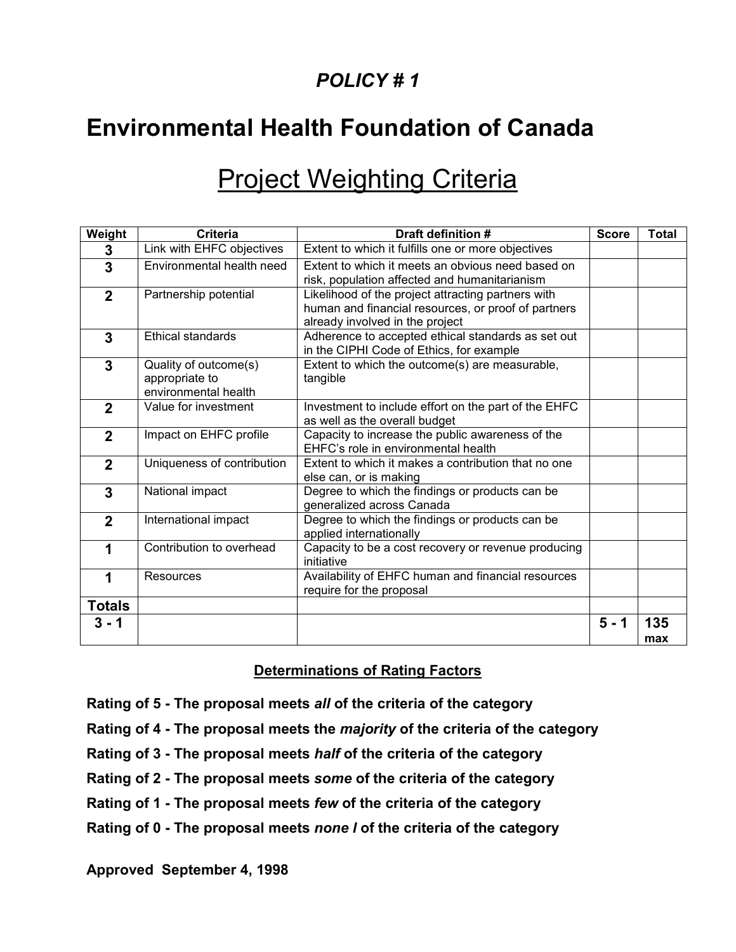### *POLICY # 1*

## **Environmental Health Foundation of Canada**

# **Project Weighting Criteria**

| Weight         | <b>Criteria</b>                                                 | Draft definition #                                                                                                                           | <b>Score</b> | <b>Total</b> |
|----------------|-----------------------------------------------------------------|----------------------------------------------------------------------------------------------------------------------------------------------|--------------|--------------|
| 3              | Link with EHFC objectives                                       | Extent to which it fulfills one or more objectives                                                                                           |              |              |
| 3              | Environmental health need                                       | Extent to which it meets an obvious need based on<br>risk, population affected and humanitarianism                                           |              |              |
| $\mathbf{2}$   | Partnership potential                                           | Likelihood of the project attracting partners with<br>human and financial resources, or proof of partners<br>already involved in the project |              |              |
| 3              | <b>Ethical standards</b>                                        | Adherence to accepted ethical standards as set out<br>in the CIPHI Code of Ethics, for example                                               |              |              |
| $\overline{3}$ | Quality of outcome(s)<br>appropriate to<br>environmental health | Extent to which the outcome(s) are measurable,<br>tangible                                                                                   |              |              |
| $\overline{2}$ | Value for investment                                            | Investment to include effort on the part of the EHFC<br>as well as the overall budget                                                        |              |              |
| $\mathbf{2}$   | Impact on EHFC profile                                          | Capacity to increase the public awareness of the<br>EHFC's role in environmental health                                                      |              |              |
| $\mathbf{2}$   | Uniqueness of contribution                                      | Extent to which it makes a contribution that no one<br>else can, or is making                                                                |              |              |
| 3              | National impact                                                 | Degree to which the findings or products can be<br>generalized across Canada                                                                 |              |              |
| $\mathbf{2}$   | International impact                                            | Degree to which the findings or products can be<br>applied internationally                                                                   |              |              |
| 1              | Contribution to overhead                                        | Capacity to be a cost recovery or revenue producing<br>initiative                                                                            |              |              |
| 1              | Resources                                                       | Availability of EHFC human and financial resources<br>require for the proposal                                                               |              |              |
| <b>Totals</b>  |                                                                 |                                                                                                                                              |              |              |
| 3 - 1          |                                                                 |                                                                                                                                              | $5 - 1$      | 135<br>max   |

#### **Determinations of Rating Factors**

- **Rating of 5 - The proposal meets** *all* **of the criteria of the category**
- **Rating of 4 - The proposal meets the** *majority* **of the criteria of the category**
- **Rating of 3 - The proposal meets** *half* **of the criteria of the category**
- **Rating of 2 - The proposal meets** *some* **of the criteria of the category**
- **Rating of 1 - The proposal meets** *few* **of the criteria of the category**
- **Rating of 0 - The proposal meets** *none l* **of the criteria of the category**

**Approved September 4, 1998**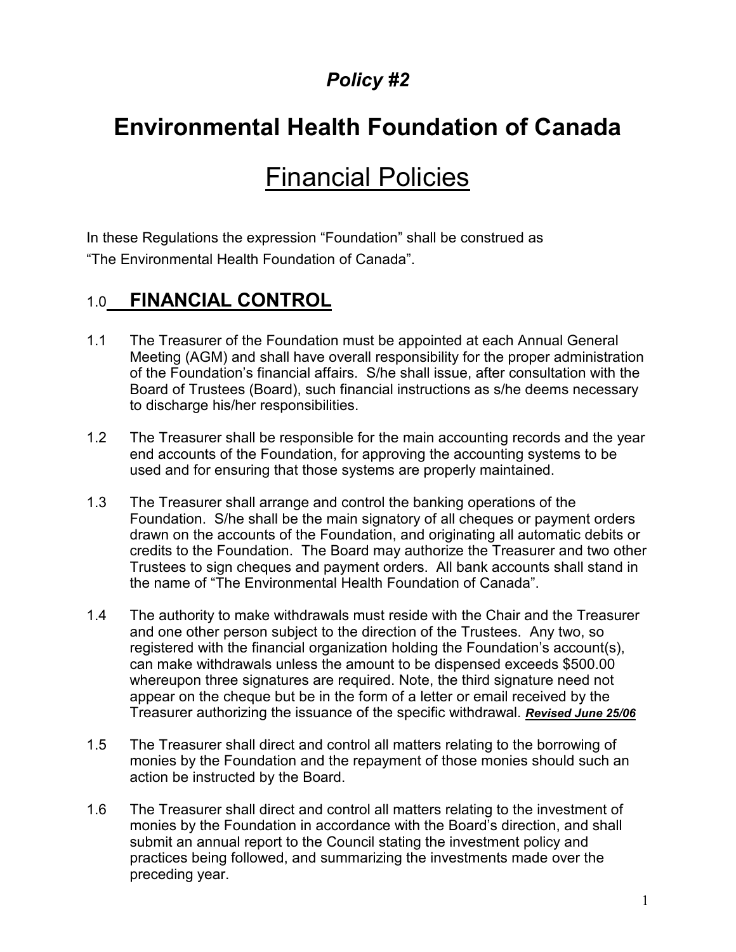## **Environmental Health Foundation of Canada**

# Financial Policies

In these Regulations the expression "Foundation" shall be construed as "The Environmental Health Foundation of Canada".

### 1.0 **FINANCIAL CONTROL**

- 1.1 The Treasurer of the Foundation must be appointed at each Annual General Meeting (AGM) and shall have overall responsibility for the proper administration of the Foundation's financial affairs. S/he shall issue, after consultation with the Board of Trustees (Board), such financial instructions as s/he deems necessary to discharge his/her responsibilities.
- 1.2 The Treasurer shall be responsible for the main accounting records and the year end accounts of the Foundation, for approving the accounting systems to be used and for ensuring that those systems are properly maintained.
- 1.3 The Treasurer shall arrange and control the banking operations of the Foundation. S/he shall be the main signatory of all cheques or payment orders drawn on the accounts of the Foundation, and originating all automatic debits or credits to the Foundation. The Board may authorize the Treasurer and two other Trustees to sign cheques and payment orders. All bank accounts shall stand in the name of "The Environmental Health Foundation of Canada".
- 1.4 The authority to make withdrawals must reside with the Chair and the Treasurer and one other person subject to the direction of the Trustees. Any two, so registered with the financial organization holding the Foundation's account(s), can make withdrawals unless the amount to be dispensed exceeds \$500.00 whereupon three signatures are required. Note, the third signature need not appear on the cheque but be in the form of a letter or email received by the Treasurer authorizing the issuance of the specific withdrawal. *Revised June 25/06*
- 1.5 The Treasurer shall direct and control all matters relating to the borrowing of monies by the Foundation and the repayment of those monies should such an action be instructed by the Board.
- 1.6 The Treasurer shall direct and control all matters relating to the investment of monies by the Foundation in accordance with the Board's direction, and shall submit an annual report to the Council stating the investment policy and practices being followed, and summarizing the investments made over the preceding year.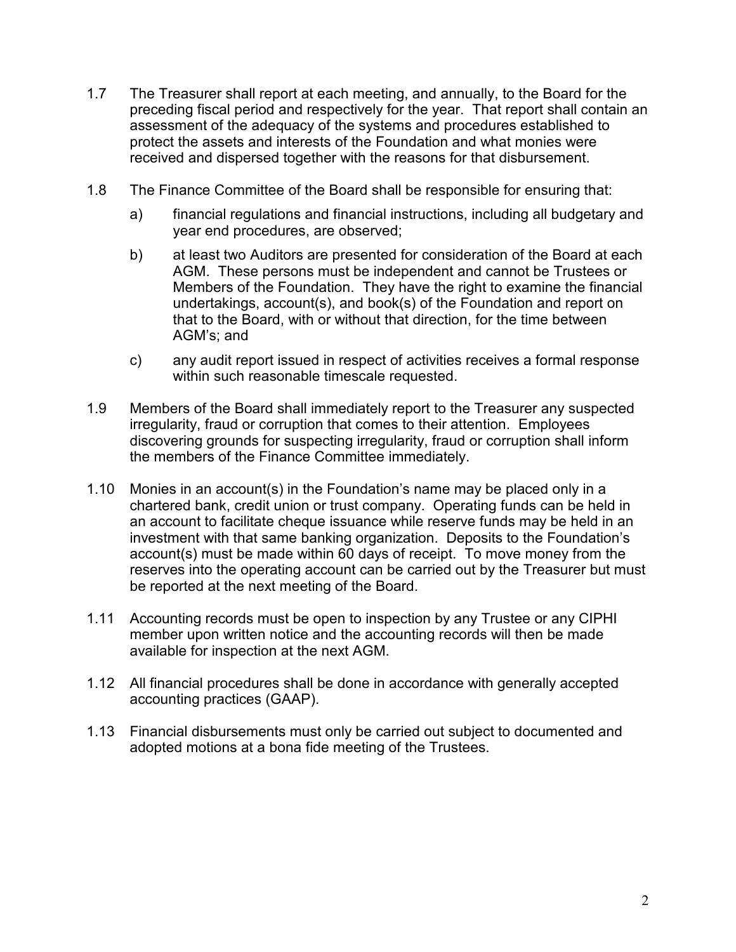- 1.7 The Treasurer shall report at each meeting, and annually, to the Board for the preceding fiscal period and respectively for the year. That report shall contain an assessment of the adequacy of the systems and procedures established to protect the assets and interests of the Foundation and what monies were received and dispersed together with the reasons for that disbursement.
- 1.8 The Finance Committee of the Board shall be responsible for ensuring that:
	- a) financial regulations and financial instructions, including all budgetary and year end procedures, are observed;
	- b) at least two Auditors are presented for consideration of the Board at each AGM. These persons must be independent and cannot be Trustees or Members of the Foundation. They have the right to examine the financial undertakings, account(s), and book(s) of the Foundation and report on that to the Board, with or without that direction, for the time between AGM's; and
	- c) any audit report issued in respect of activities receives a formal response within such reasonable timescale requested.
- 1.9 Members of the Board shall immediately report to the Treasurer any suspected irregularity, fraud or corruption that comes to their attention. Employees discovering grounds for suspecting irregularity, fraud or corruption shall inform the members of the Finance Committee immediately.
- 1.10 Monies in an account(s) in the Foundation's name may be placed only in a chartered bank, credit union or trust company. Operating funds can be held in an account to facilitate cheque issuance while reserve funds may be held in an investment with that same banking organization. Deposits to the Foundation's account(s) must be made within 60 days of receipt. To move money from the reserves into the operating account can be carried out by the Treasurer but must be reported at the next meeting of the Board.
- 1.11 Accounting records must be open to inspection by any Trustee or any CIPHI member upon written notice and the accounting records will then be made available for inspection at the next AGM.
- 1.12 All financial procedures shall be done in accordance with generally accepted accounting practices (GAAP).
- 1.13 Financial disbursements must only be carried out subject to documented and adopted motions at a bona fide meeting of the Trustees.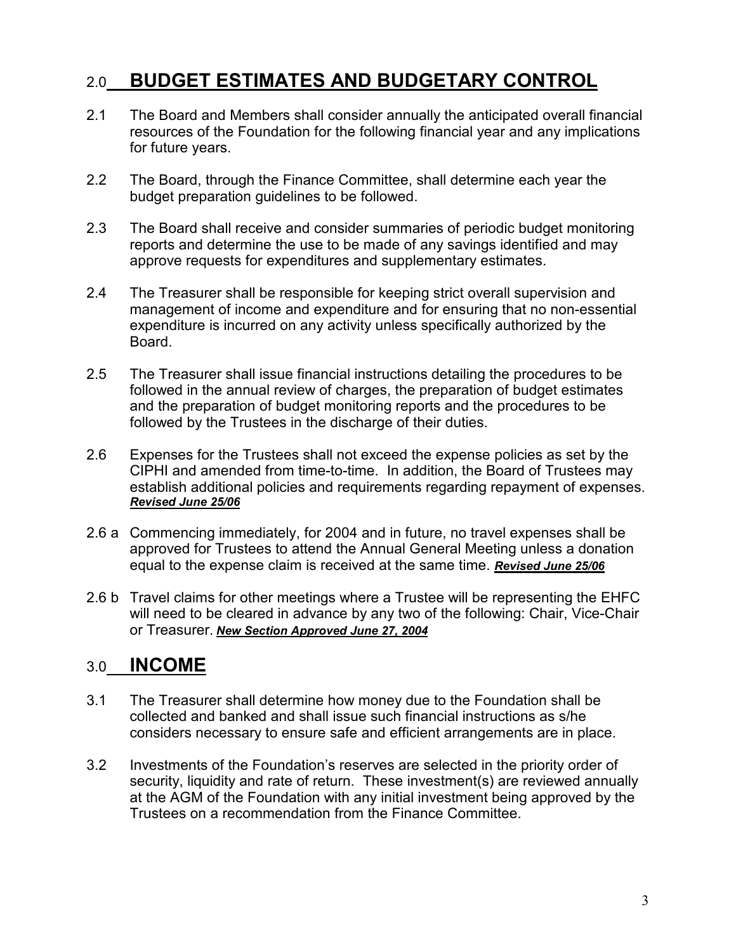### 2.0 **BUDGET ESTIMATES AND BUDGETARY CONTROL**

- 2.1 The Board and Members shall consider annually the anticipated overall financial resources of the Foundation for the following financial year and any implications for future years.
- 2.2 The Board, through the Finance Committee, shall determine each year the budget preparation guidelines to be followed.
- 2.3 The Board shall receive and consider summaries of periodic budget monitoring reports and determine the use to be made of any savings identified and may approve requests for expenditures and supplementary estimates.
- 2.4 The Treasurer shall be responsible for keeping strict overall supervision and management of income and expenditure and for ensuring that no non-essential expenditure is incurred on any activity unless specifically authorized by the Board.
- 2.5 The Treasurer shall issue financial instructions detailing the procedures to be followed in the annual review of charges, the preparation of budget estimates and the preparation of budget monitoring reports and the procedures to be followed by the Trustees in the discharge of their duties.
- 2.6 Expenses for the Trustees shall not exceed the expense policies as set by the CIPHI and amended from time-to-time. In addition, the Board of Trustees may establish additional policies and requirements regarding repayment of expenses. *Revised June 25/06*
- 2.6 a Commencing immediately, for 2004 and in future, no travel expenses shall be approved for Trustees to attend the Annual General Meeting unless a donation equal to the expense claim is received at the same time. *Revised June 25/06*
- 2.6 b Travel claims for other meetings where a Trustee will be representing the EHFC will need to be cleared in advance by any two of the following: Chair, Vice-Chair or Treasurer. *New Section Approved June 27, 2004*

### 3.0 **INCOME**

- 3.1 The Treasurer shall determine how money due to the Foundation shall be collected and banked and shall issue such financial instructions as s/he considers necessary to ensure safe and efficient arrangements are in place.
- 3.2 Investments of the Foundation's reserves are selected in the priority order of security, liquidity and rate of return. These investment(s) are reviewed annually at the AGM of the Foundation with any initial investment being approved by the Trustees on a recommendation from the Finance Committee.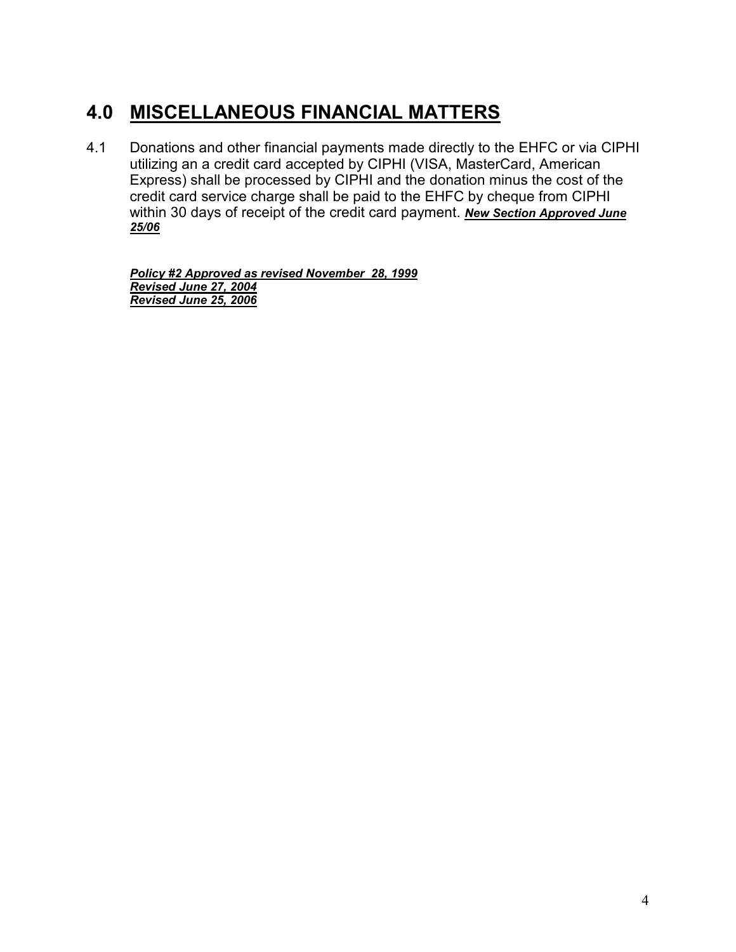### **4.0 MISCELLANEOUS FINANCIAL MATTERS**

4.1 Donations and other financial payments made directly to the EHFC or via CIPHI utilizing an a credit card accepted by CIPHI (VISA, MasterCard, American Express) shall be processed by CIPHI and the donation minus the cost of the credit card service charge shall be paid to the EHFC by cheque from CIPHI within 30 days of receipt of the credit card payment. *New Section Approved June 25/06*

*Policy #2 Approved as revised November 28, 1999 Revised June 27, 2004 Revised June 25, 2006*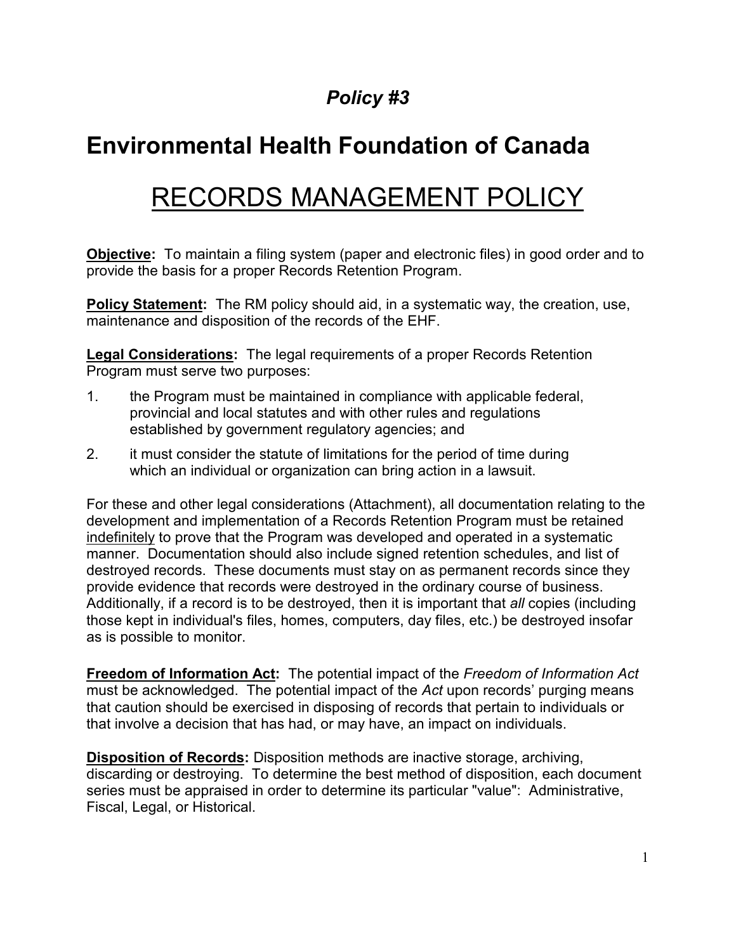# **Environmental Health Foundation of Canada**

# RECORDS MANAGEMENT POLICY

**Objective:** To maintain a filing system (paper and electronic files) in good order and to provide the basis for a proper Records Retention Program.

**Policy Statement:** The RM policy should aid, in a systematic way, the creation, use, maintenance and disposition of the records of the EHF.

**Legal Considerations:** The legal requirements of a proper Records Retention Program must serve two purposes:

- 1. the Program must be maintained in compliance with applicable federal, provincial and local statutes and with other rules and regulations established by government regulatory agencies; and
- 2. it must consider the statute of limitations for the period of time during which an individual or organization can bring action in a lawsuit.

For these and other legal considerations (Attachment), all documentation relating to the development and implementation of a Records Retention Program must be retained indefinitely to prove that the Program was developed and operated in a systematic manner. Documentation should also include signed retention schedules, and list of destroyed records. These documents must stay on as permanent records since they provide evidence that records were destroyed in the ordinary course of business. Additionally, if a record is to be destroyed, then it is important that *all* copies (including those kept in individual's files, homes, computers, day files, etc.) be destroyed insofar as is possible to monitor.

**Freedom of Information Act:** The potential impact of the *Freedom of Information Act* must be acknowledged. The potential impact of the *Act* upon records' purging means that caution should be exercised in disposing of records that pertain to individuals or that involve a decision that has had, or may have, an impact on individuals.

**Disposition of Records:** Disposition methods are inactive storage, archiving, discarding or destroying. To determine the best method of disposition, each document series must be appraised in order to determine its particular "value": Administrative, Fiscal, Legal, or Historical.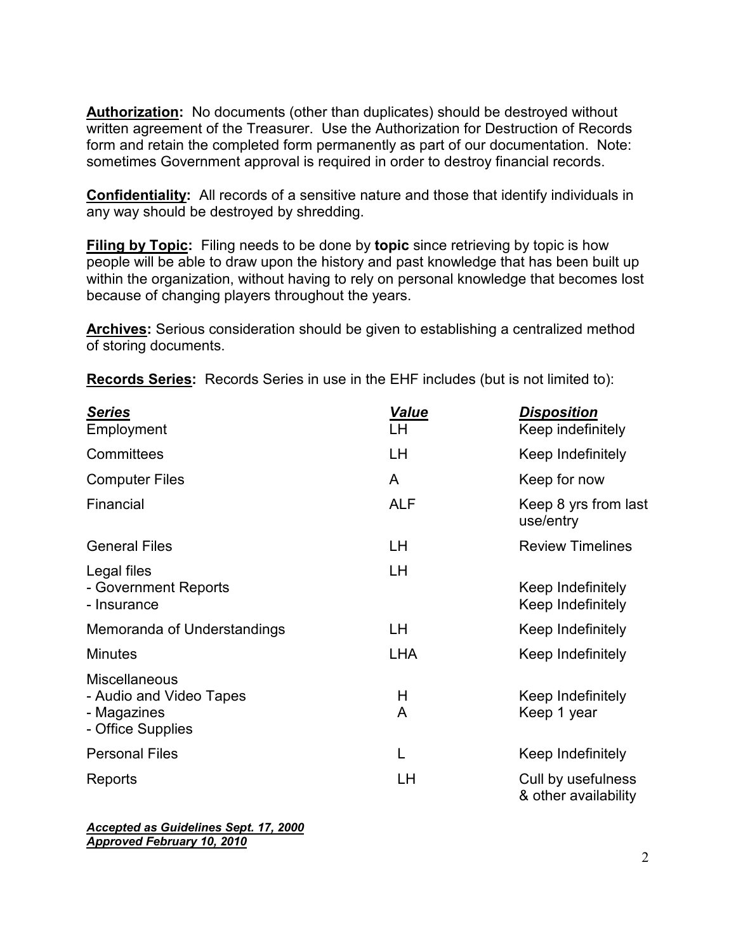**Authorization:** No documents (other than duplicates) should be destroyed without written agreement of the Treasurer. Use the Authorization for Destruction of Records form and retain the completed form permanently as part of our documentation. Note: sometimes Government approval is required in order to destroy financial records.

**Confidentiality:** All records of a sensitive nature and those that identify individuals in any way should be destroyed by shredding.

**Filing by Topic:** Filing needs to be done by **topic** since retrieving by topic is how people will be able to draw upon the history and past knowledge that has been built up within the organization, without having to rely on personal knowledge that becomes lost because of changing players throughout the years.

**Archives:** Serious consideration should be given to establishing a centralized method of storing documents.

**Records Series:** Records Series in use in the EHF includes (but is not limited to):

| <b>Series</b><br>Employment                                                         | <b>Value</b><br>LH | <b>Disposition</b><br>Keep indefinitely    |
|-------------------------------------------------------------------------------------|--------------------|--------------------------------------------|
| Committees                                                                          | LН                 | Keep Indefinitely                          |
| <b>Computer Files</b>                                                               | A                  | Keep for now                               |
| Financial                                                                           | <b>ALF</b>         | Keep 8 yrs from last<br>use/entry          |
| <b>General Files</b>                                                                | LH                 | <b>Review Timelines</b>                    |
| Legal files<br>- Government Reports<br>- Insurance                                  | LН                 | Keep Indefinitely<br>Keep Indefinitely     |
| Memoranda of Understandings                                                         | LH                 | Keep Indefinitely                          |
| <b>Minutes</b>                                                                      | <b>LHA</b>         | Keep Indefinitely                          |
| <b>Miscellaneous</b><br>- Audio and Video Tapes<br>- Magazines<br>- Office Supplies | H<br>A             | Keep Indefinitely<br>Keep 1 year           |
| <b>Personal Files</b>                                                               | L                  | Keep Indefinitely                          |
| Reports                                                                             | LH                 | Cull by usefulness<br>& other availability |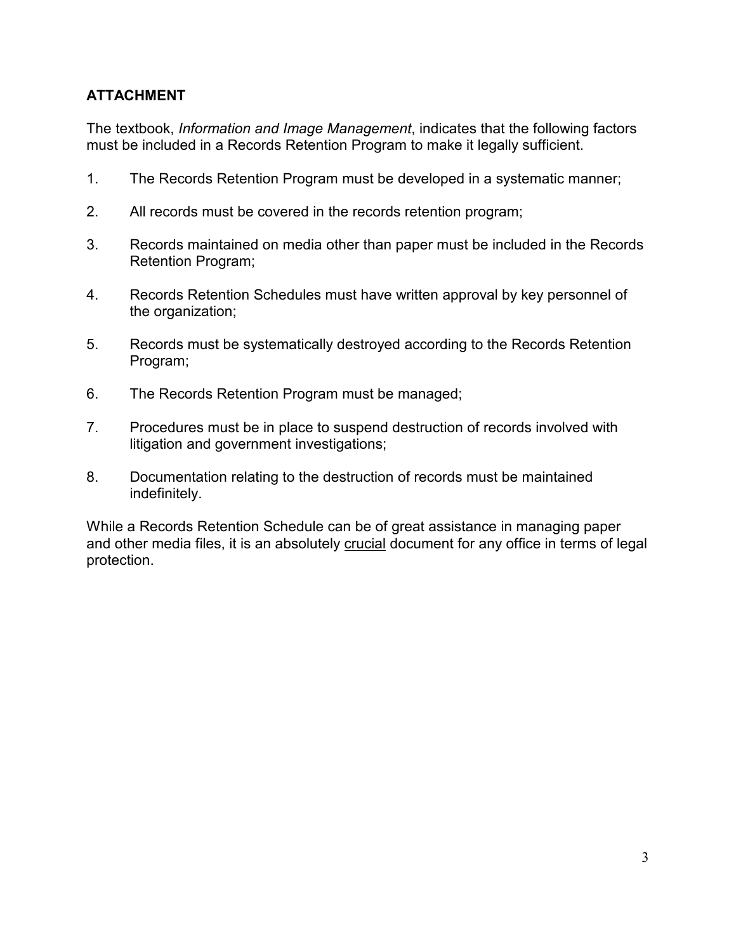### **ATTACHMENT**

The textbook, *Information and Image Management*, indicates that the following factors must be included in a Records Retention Program to make it legally sufficient.

- 1. The Records Retention Program must be developed in a systematic manner;
- 2. All records must be covered in the records retention program;
- 3. Records maintained on media other than paper must be included in the Records Retention Program;
- 4. Records Retention Schedules must have written approval by key personnel of the organization;
- 5. Records must be systematically destroyed according to the Records Retention Program;
- 6. The Records Retention Program must be managed;
- 7. Procedures must be in place to suspend destruction of records involved with litigation and government investigations;
- 8. Documentation relating to the destruction of records must be maintained indefinitely.

While a Records Retention Schedule can be of great assistance in managing paper and other media files, it is an absolutely crucial document for any office in terms of legal protection.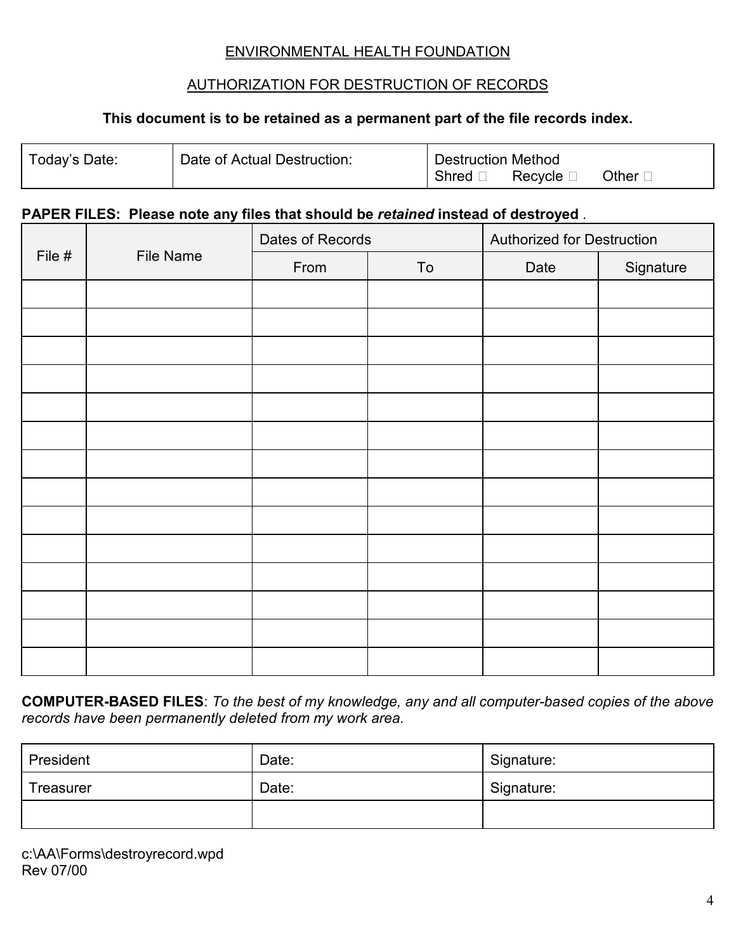### ENVIRONMENTAL HEALTH FOUNDATION

### AUTHORIZATION FOR DESTRUCTION OF RECORDS

#### **This document is to be retained as a permanent part of the file records index.**

| Today's Date: | Date of Actual Destruction: | <b>Destruction Method</b> |           |         |
|---------------|-----------------------------|---------------------------|-----------|---------|
|               |                             | . Shred $\Gamma$          | Recycle L | Other l |

#### **PAPER FILES: Please note any files that should be** *retained* **instead of destroyed** *.*

|                            |      | Dates of Records |      | <b>Authorized for Destruction</b> |  |
|----------------------------|------|------------------|------|-----------------------------------|--|
| File #<br><b>File Name</b> | From | To               | Date | Signature                         |  |
|                            |      |                  |      |                                   |  |
|                            |      |                  |      |                                   |  |
|                            |      |                  |      |                                   |  |
|                            |      |                  |      |                                   |  |
|                            |      |                  |      |                                   |  |
|                            |      |                  |      |                                   |  |
|                            |      |                  |      |                                   |  |
|                            |      |                  |      |                                   |  |
|                            |      |                  |      |                                   |  |
|                            |      |                  |      |                                   |  |
|                            |      |                  |      |                                   |  |
|                            |      |                  |      |                                   |  |
|                            |      |                  |      |                                   |  |
|                            |      |                  |      |                                   |  |

**COMPUTER-BASED FILES**: *To the best of my knowledge, any and all computer-based copies of the above records have been permanently deleted from my work area.*

| President        | Date: | Signature: |
|------------------|-------|------------|
| <b>Treasurer</b> | Date: | Signature: |
|                  |       |            |

c:\AA\Forms\destroyrecord.wpd Rev 07/00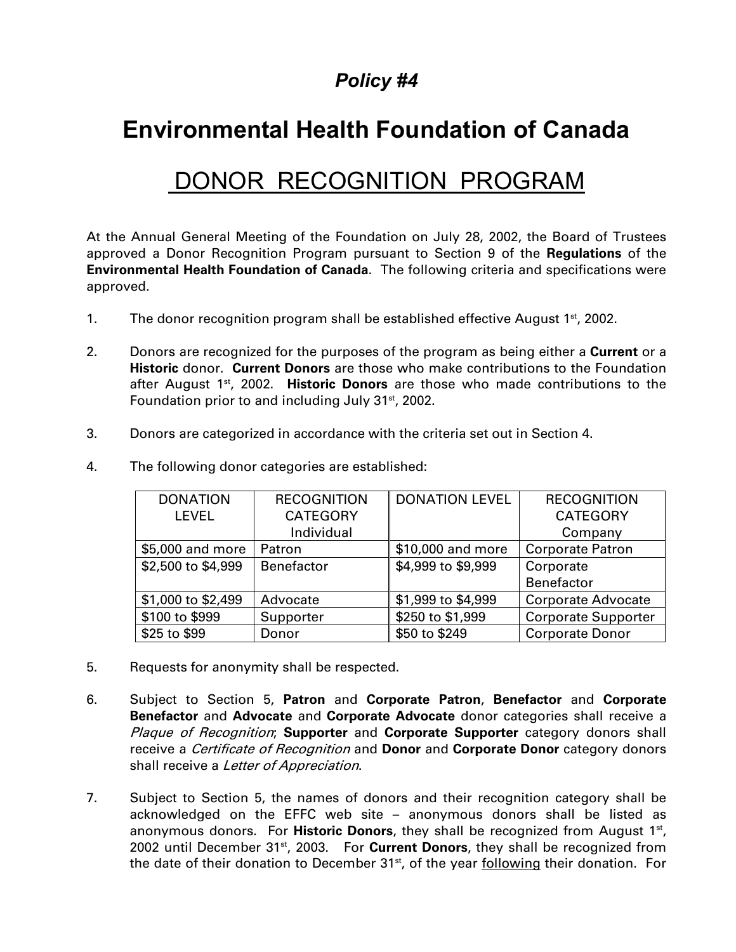## **Environmental Health Foundation of Canada**

## DONOR RECOGNITION PROGRAM

At the Annual General Meeting of the Foundation on July 28, 2002, the Board of Trustees approved a Donor Recognition Program pursuant to Section 9 of the **Regulations** of the **Environmental Health Foundation of Canada**. The following criteria and specifications were approved.

- 1. The donor recognition program shall be established effective August  $1<sup>st</sup>$ , 2002.
- 2. Donors are recognized for the purposes of the program as being either a **Current** or a **Historic** donor. **Current Donors** are those who make contributions to the Foundation after August 1st, 2002. **Historic Donors** are those who made contributions to the Foundation prior to and including July 31<sup>st</sup>, 2002.
- 3. Donors are categorized in accordance with the criteria set out in Section 4.

| <b>DONATION</b>    | <b>RECOGNITION</b> | <b>DONATION LEVEL</b> | <b>RECOGNITION</b>         |
|--------------------|--------------------|-----------------------|----------------------------|
| <b>LEVEL</b>       | <b>CATEGORY</b>    |                       | <b>CATEGORY</b>            |
|                    | Individual         |                       | Company                    |
| \$5,000 and more   | Patron             | \$10,000 and more     | <b>Corporate Patron</b>    |
| \$2,500 to \$4,999 | Benefactor         | \$4,999 to \$9,999    | Corporate                  |
|                    |                    |                       | Benefactor                 |
| \$1,000 to \$2,499 | Advocate           | \$1,999 to \$4,999    | <b>Corporate Advocate</b>  |
| \$100 to \$999     | Supporter          | \$250 to \$1,999      | <b>Corporate Supporter</b> |
| \$25 to \$99       | Donor              | \$50 to \$249         | <b>Corporate Donor</b>     |

4. The following donor categories are established:

- 5. Requests for anonymity shall be respected.
- 6. Subject to Section 5, **Patron** and **Corporate Patron**, **Benefactor** and **Corporate Benefactor** and **Advocate** and **Corporate Advocate** donor categories shall receive a Plaque of Recognition; **Supporter** and **Corporate Supporter** category donors shall receive a Certificate of Recognition and **Donor** and **Corporate Donor** category donors shall receive a Letter of Appreciation.
- 7. Subject to Section 5, the names of donors and their recognition category shall be acknowledged on the EFFC web site – anonymous donors shall be listed as anonymous donors. For **Historic Donors**, they shall be recognized from August 1<sup>st</sup>, 2002 until December 31<sup>st</sup>, 2003. For **Current Donors**, they shall be recognized from the date of their donation to December 31<sup>st</sup>, of the year following their donation. For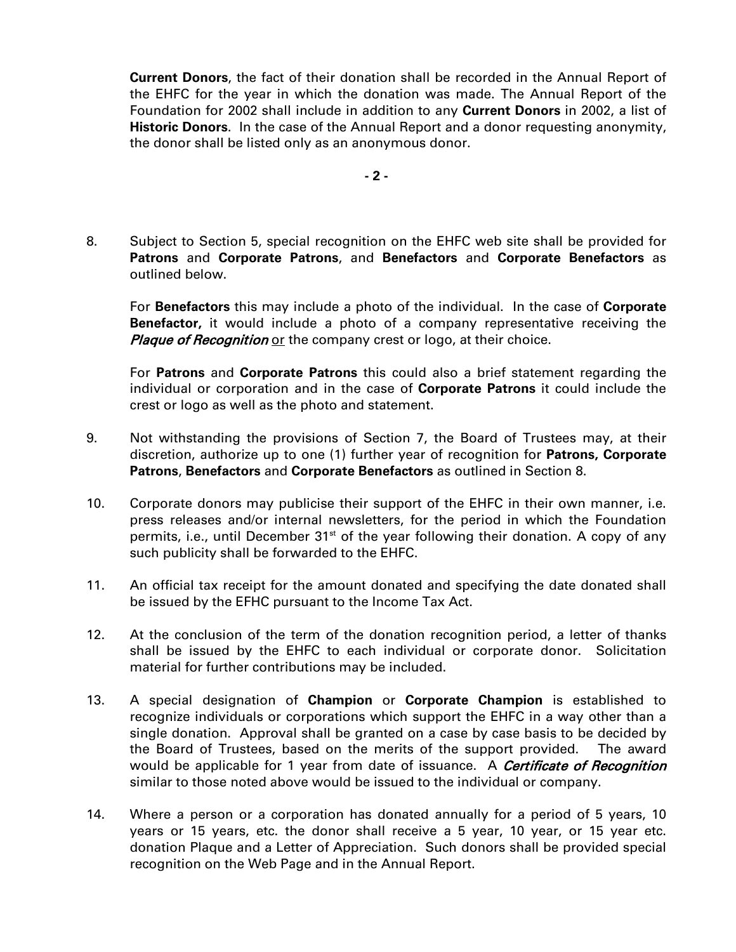**Current Donors**, the fact of their donation shall be recorded in the Annual Report of the EHFC for the year in which the donation was made. The Annual Report of the Foundation for 2002 shall include in addition to any **Current Donors** in 2002, a list of **Historic Donors**. In the case of the Annual Report and a donor requesting anonymity, the donor shall be listed only as an anonymous donor.

**- 2 -**

8. Subject to Section 5, special recognition on the EHFC web site shall be provided for **Patrons** and **Corporate Patrons**, and **Benefactors** and **Corporate Benefactors** as outlined below.

For **Benefactors** this may include a photo of the individual. In the case of **Corporate Benefactor,** it would include a photo of a company representative receiving the **Plaque of Recognition of** the company crest or logo, at their choice.

For **Patrons** and **Corporate Patrons** this could also a brief statement regarding the individual or corporation and in the case of **Corporate Patrons** it could include the crest or logo as well as the photo and statement.

- 9. Not withstanding the provisions of Section 7, the Board of Trustees may, at their discretion, authorize up to one (1) further year of recognition for **Patrons, Corporate Patrons**, **Benefactors** and **Corporate Benefactors** as outlined in Section 8.
- 10. Corporate donors may publicise their support of the EHFC in their own manner, i.e. press releases and/or internal newsletters, for the period in which the Foundation permits, i.e., until December  $31<sup>st</sup>$  of the year following their donation. A copy of any such publicity shall be forwarded to the EHFC.
- 11. An official tax receipt for the amount donated and specifying the date donated shall be issued by the EFHC pursuant to the Income Tax Act.
- 12. At the conclusion of the term of the donation recognition period, a letter of thanks shall be issued by the EHFC to each individual or corporate donor. Solicitation material for further contributions may be included.
- 13. A special designation of **Champion** or **Corporate Champion** is established to recognize individuals or corporations which support the EHFC in a way other than a single donation. Approval shall be granted on a case by case basis to be decided by the Board of Trustees, based on the merits of the support provided. The award would be applicable for 1 year from date of issuance. A **Certificate of Recognition** similar to those noted above would be issued to the individual or company.
- 14. Where a person or a corporation has donated annually for a period of 5 years, 10 years or 15 years, etc. the donor shall receive a 5 year, 10 year, or 15 year etc. donation Plaque and a Letter of Appreciation. Such donors shall be provided special recognition on the Web Page and in the Annual Report.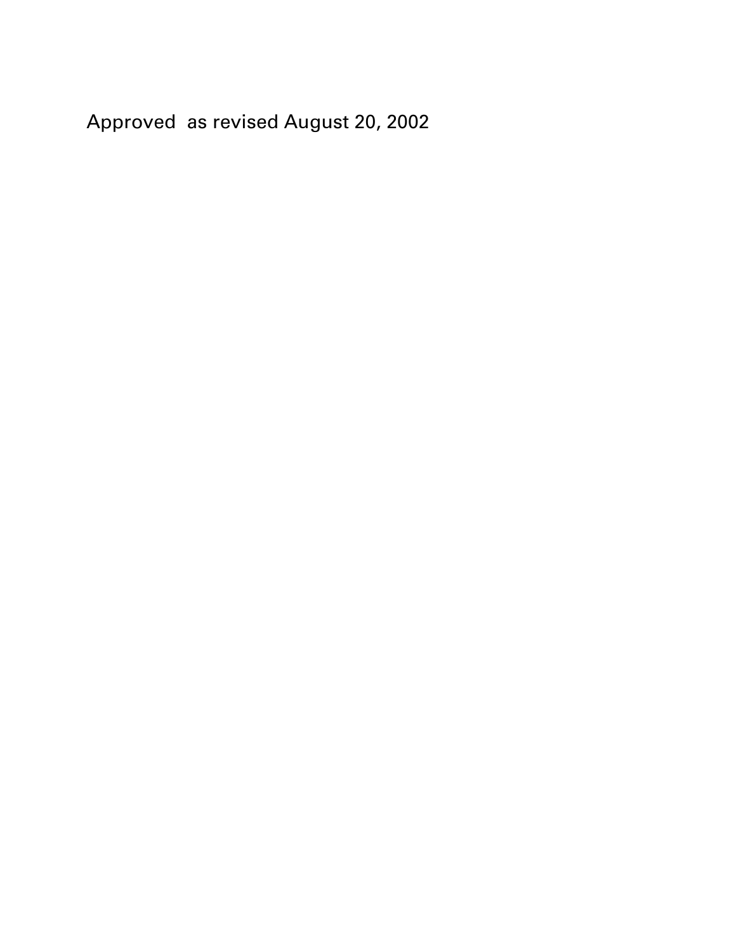Approved as revised August 20, 2002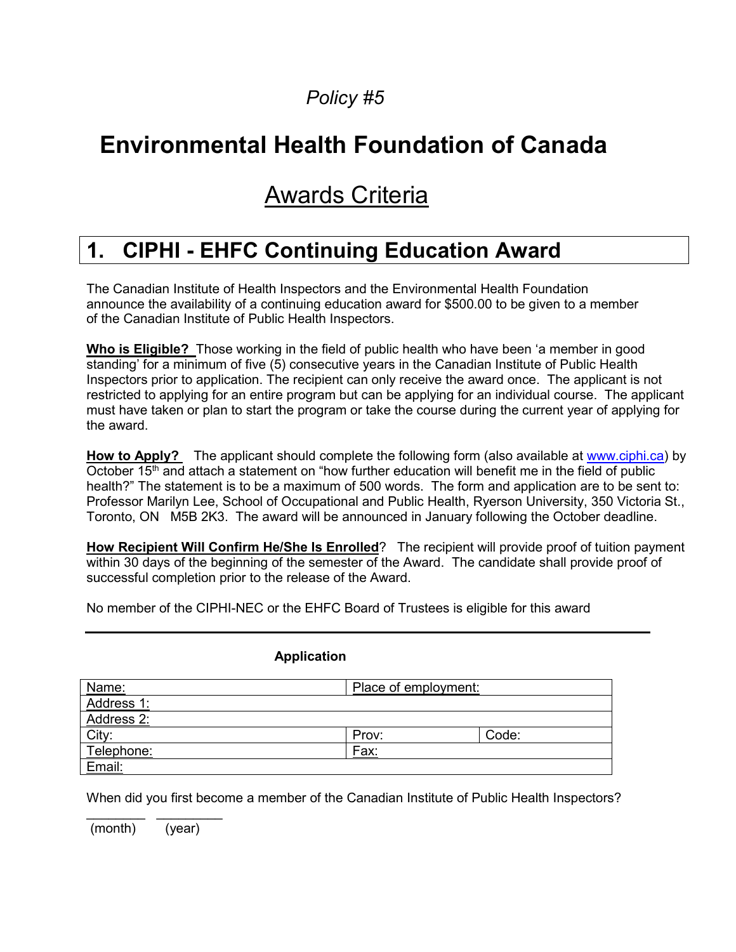# **Environmental Health Foundation of Canada**

# Awards Criteria

## **1. CIPHI - EHFC Continuing Education Award**

The Canadian Institute of Health Inspectors and the Environmental Health Foundation announce the availability of a continuing education award for \$500.00 to be given to a member of the Canadian Institute of Public Health Inspectors.

**Who is Eligible?** Those working in the field of public health who have been 'a member in good standing' for a minimum of five (5) consecutive years in the Canadian Institute of Public Health Inspectors prior to application. The recipient can only receive the award once. The applicant is not restricted to applying for an entire program but can be applying for an individual course. The applicant must have taken or plan to start the program or take the course during the current year of applying for the award.

**How to Apply?** The applicant should complete the following form (also available at [www.ciphi.ca\)](http://www.ciphi.ca/) by October 15<sup>th</sup> and attach a statement on "how further education will benefit me in the field of public health?" The statement is to be a maximum of 500 words.The form and application are to be sent to: Professor Marilyn Lee, School of Occupational and Public Health, Ryerson University, 350 Victoria St., Toronto, ON M5B 2K3. The award will be announced in January following the October deadline.

**How Recipient Will Confirm He/She Is Enrolled**? The recipient will provide proof of tuition payment within 30 days of the beginning of the semester of the Award. The candidate shall provide proof of successful completion prior to the release of the Award.

No member of the CIPHI-NEC or the EHFC Board of Trustees is eligible for this award

#### **Application**

| Name:      | Place of employment: |       |  |
|------------|----------------------|-------|--|
| Address 1: |                      |       |  |
| Address 2: |                      |       |  |
| City:      | Prov:                | Code: |  |
| Telephone: | Fax:                 |       |  |
| Email:     |                      |       |  |

When did you first become a member of the Canadian Institute of Public Health Inspectors?

\_\_\_\_\_\_\_\_ \_\_\_\_\_\_\_\_\_ (month) (year)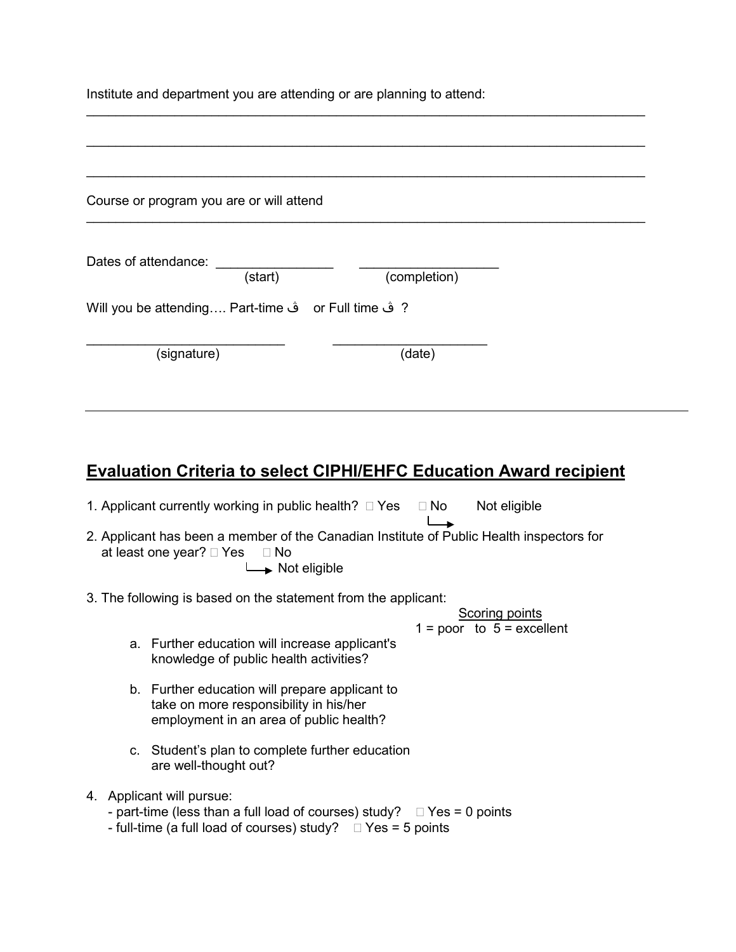Institute and department you are attending or are planning to attend:

| Course or program you are or will attend            |              |  |
|-----------------------------------------------------|--------------|--|
| Dates of attendance:<br>(start)                     | (completion) |  |
| ? ڤ or Full time فْ Will you be attending Part-time |              |  |
| (signature)                                         | (date)       |  |

\_\_\_\_\_\_\_\_\_\_\_\_\_\_\_\_\_\_\_\_\_\_\_\_\_\_\_\_\_\_\_\_\_\_\_\_\_\_\_\_\_\_\_\_\_\_\_\_\_\_\_\_\_\_\_\_\_\_\_\_\_\_\_\_\_\_\_\_\_\_\_\_\_\_\_\_

### **Evaluation Criteria to select CIPHI/EHFC Education Award recipient**

1. Applicant currently working in public health?  $\Box$  Yes  $\Box$  No Not eligible

- 2. Applicant has been a member of the Canadian Institute of Public Health inspectors for at least one year?  $\Box$  Yes  $\Box$  No Not eligible
- 3. The following is based on the statement from the applicant:

Scoring points  $1 = poor to 5 = excellent$ 

 $\overline{\phantom{a}}$ 

- a. Further education will increase applicant's knowledge of public health activities?
- b. Further education will prepare applicant to take on more responsibility in his/her employment in an area of public health?
- c. Student's plan to complete further education are well-thought out?
- 4. Applicant will pursue:
	- part-time (less than a full load of courses) study?  $\Box$  Yes = 0 points
	- full-time (a full load of courses) study?  $\Box$  Yes = 5 points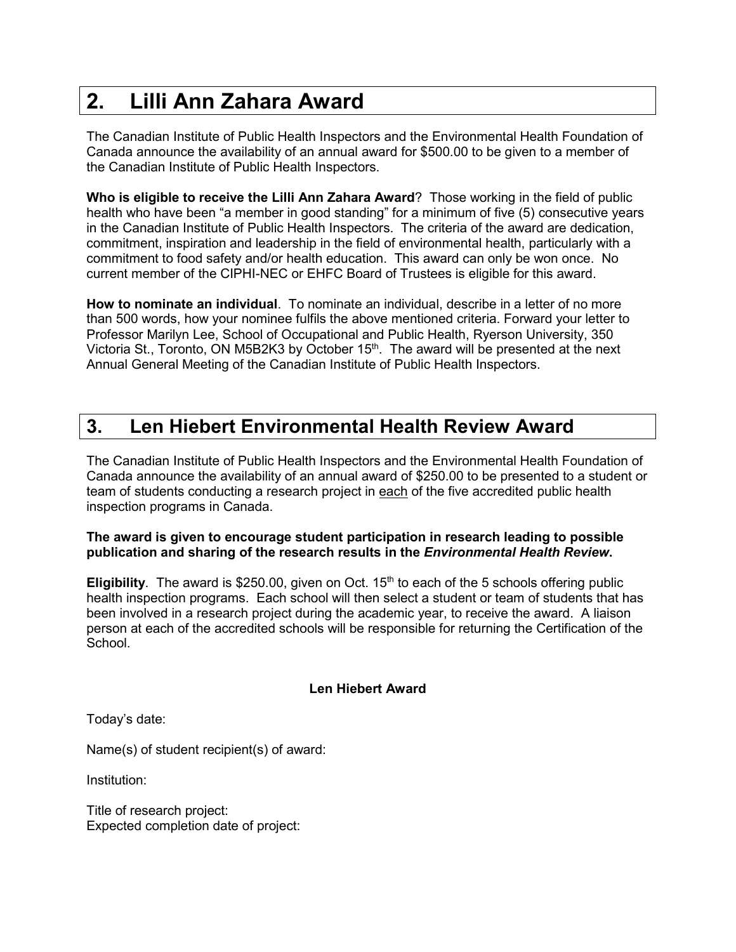## **2. Lilli Ann Zahara Award**

The Canadian Institute of Public Health Inspectors and the Environmental Health Foundation of Canada announce the availability of an annual award for \$500.00 to be given to a member of the Canadian Institute of Public Health Inspectors.

**Who is eligible to receive the Lilli Ann Zahara Award**? Those working in the field of public health who have been "a member in good standing" for a minimum of five (5) consecutive years in the Canadian Institute of Public Health Inspectors. The criteria of the award are dedication, commitment, inspiration and leadership in the field of environmental health, particularly with a commitment to food safety and/or health education. This award can only be won once. No current member of the CIPHI-NEC or EHFC Board of Trustees is eligible for this award.

**How to nominate an individual**. To nominate an individual, describe in a letter of no more than 500 words, how your nominee fulfils the above mentioned criteria. Forward your letter to Professor Marilyn Lee, School of Occupational and Public Health, Ryerson University, 350 Victoria St., Toronto, ON M5B2K3 by October 15<sup>th</sup>. The award will be presented at the next Annual General Meeting of the Canadian Institute of Public Health Inspectors.

### **3. Len Hiebert Environmental Health Review Award**

The Canadian Institute of Public Health Inspectors and the Environmental Health Foundation of Canada announce the availability of an annual award of \$250.00 to be presented to a student or team of students conducting a research project in each of the five accredited public health inspection programs in Canada.

#### **The award is given to encourage student participation in research leading to possible publication and sharing of the research results in the** *Environmental Health Review***.**

**Eligibility**. The award is \$250.00, given on Oct. 15<sup>th</sup> to each of the 5 schools offering public health inspection programs. Each school will then select a student or team of students that has been involved in a research project during the academic year, to receive the award. A liaison person at each of the accredited schools will be responsible for returning the Certification of the School.

#### **Len Hiebert Award**

Today's date:

Name(s) of student recipient(s) of award:

Institution:

Title of research project: Expected completion date of project: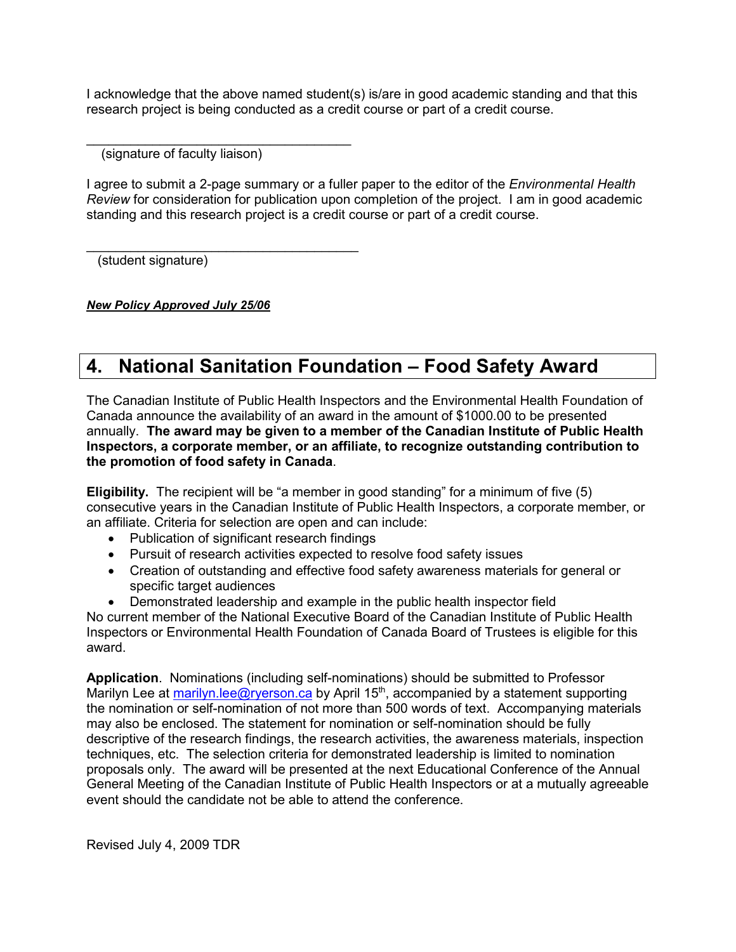I acknowledge that the above named student(s) is/are in good academic standing and that this research project is being conducted as a credit course or part of a credit course.

 $\mathcal{L}_\text{max}$  and  $\mathcal{L}_\text{max}$  and  $\mathcal{L}_\text{max}$  and  $\mathcal{L}_\text{max}$ (signature of faculty liaison)

 $\mathcal{L}_\text{max}$  , where  $\mathcal{L}_\text{max}$  is the set of  $\mathcal{L}_\text{max}$ 

I agree to submit a 2-page summary or a fuller paper to the editor of the *Environmental Health Review* for consideration for publication upon completion of the project. I am in good academic standing and this research project is a credit course or part of a credit course.

(student signature)

*New Policy Approved July 25/06*

### **4. National Sanitation Foundation – Food Safety Award**

The Canadian Institute of Public Health Inspectors and the Environmental Health Foundation of Canada announce the availability of an award in the amount of \$1000.00 to be presented annually. **The award may be given to a member of the Canadian Institute of Public Health Inspectors, a corporate member, or an affiliate, to recognize outstanding contribution to the promotion of food safety in Canada**.

**Eligibility.** The recipient will be "a member in good standing" for a minimum of five (5) consecutive years in the Canadian Institute of Public Health Inspectors, a corporate member, or an affiliate. Criteria for selection are open and can include:

- Publication of significant research findings
- Pursuit of research activities expected to resolve food safety issues
- Creation of outstanding and effective food safety awareness materials for general or specific target audiences
- Demonstrated leadership and example in the public health inspector field

No current member of the National Executive Board of the Canadian Institute of Public Health Inspectors or Environmental Health Foundation of Canada Board of Trustees is eligible for this award.

**Application**. Nominations (including self-nominations) should be submitted to Professor Marilyn Lee at [marilyn.lee@ryerson.ca](mailto:marilyn.lee@ryerson.ca) by April 15<sup>th</sup>, accompanied by a statement supporting the nomination or self-nomination of not more than 500 words of text. Accompanying materials may also be enclosed. The statement for nomination or self-nomination should be fully descriptive of the research findings, the research activities, the awareness materials, inspection techniques, etc. The selection criteria for demonstrated leadership is limited to nomination proposals only. The award will be presented at the next Educational Conference of the Annual General Meeting of the Canadian Institute of Public Health Inspectors or at a mutually agreeable event should the candidate not be able to attend the conference.

Revised July 4, 2009 TDR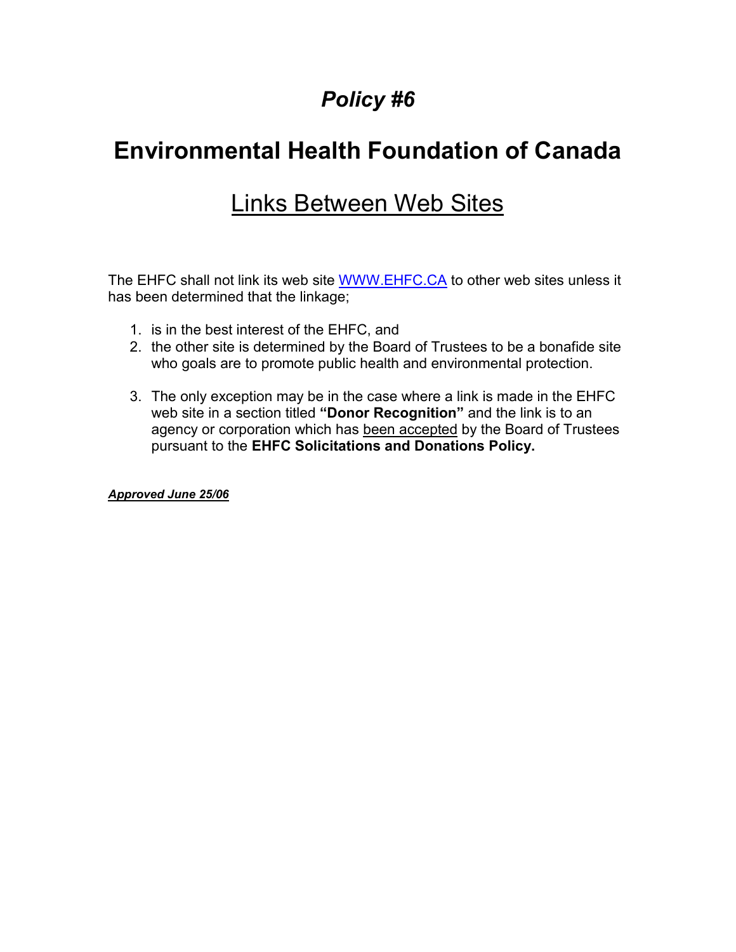# **Environmental Health Foundation of Canada**

## Links Between Web Sites

The EHFC shall not link its web site [WWW.EHFC.CA](http://www.ehfc.ca/) to other web sites unless it has been determined that the linkage;

- 1. is in the best interest of the EHFC, and
- 2. the other site is determined by the Board of Trustees to be a bonafide site who goals are to promote public health and environmental protection.
- 3. The only exception may be in the case where a link is made in the EHFC web site in a section titled **"Donor Recognition"** and the link is to an agency or corporation which has been accepted by the Board of Trustees pursuant to the **EHFC Solicitations and Donations Policy.**

*Approved June 25/06*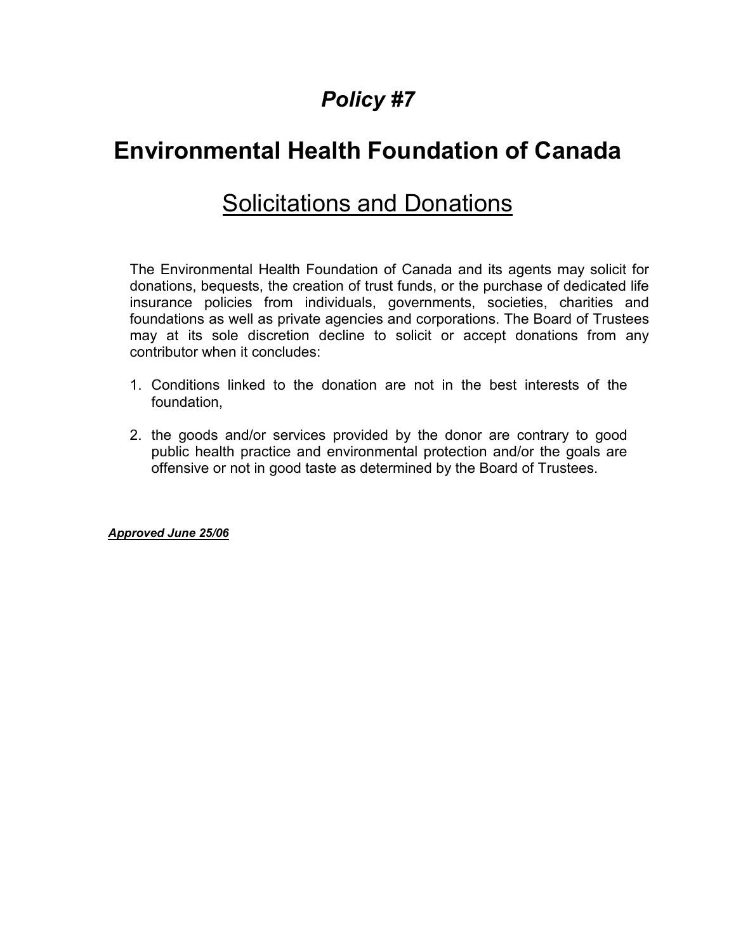# **Environmental Health Foundation of Canada**

## Solicitations and Donations

The Environmental Health Foundation of Canada and its agents may solicit for donations, bequests, the creation of trust funds, or the purchase of dedicated life insurance policies from individuals, governments, societies, charities and foundations as well as private agencies and corporations. The Board of Trustees may at its sole discretion decline to solicit or accept donations from any contributor when it concludes:

- 1. Conditions linked to the donation are not in the best interests of the foundation,
- 2. the goods and/or services provided by the donor are contrary to good public health practice and environmental protection and/or the goals are offensive or not in good taste as determined by the Board of Trustees.

*Approved June 25/06*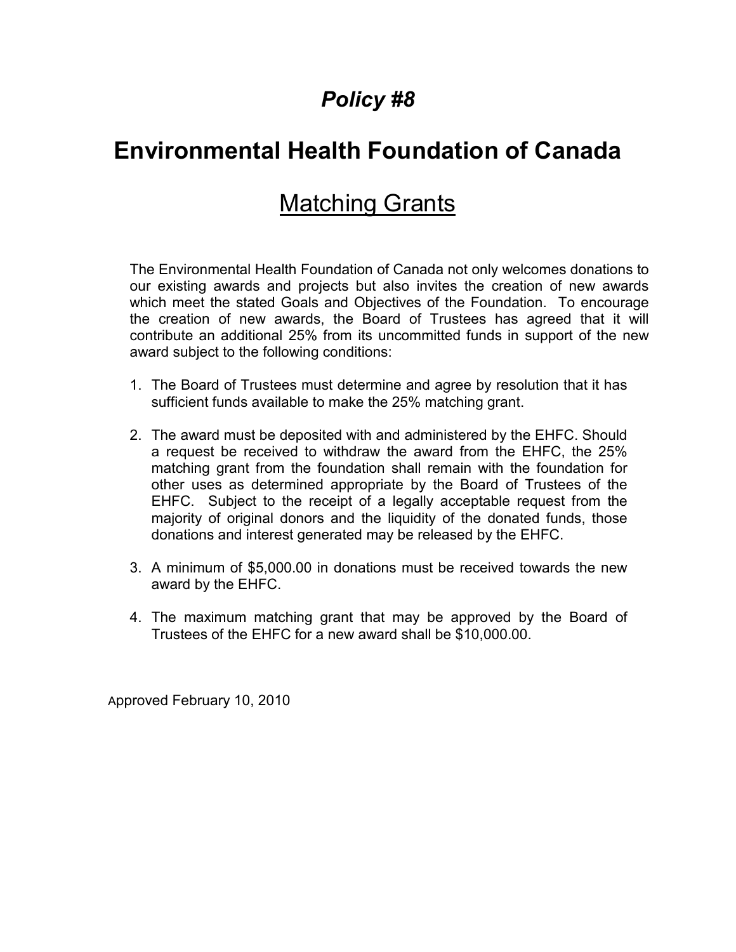# **Environmental Health Foundation of Canada**

## **Matching Grants**

The Environmental Health Foundation of Canada not only welcomes donations to our existing awards and projects but also invites the creation of new awards which meet the stated Goals and Objectives of the Foundation. To encourage the creation of new awards, the Board of Trustees has agreed that it will contribute an additional 25% from its uncommitted funds in support of the new award subject to the following conditions:

- 1. The Board of Trustees must determine and agree by resolution that it has sufficient funds available to make the 25% matching grant.
- 2. The award must be deposited with and administered by the EHFC. Should a request be received to withdraw the award from the EHFC, the 25% matching grant from the foundation shall remain with the foundation for other uses as determined appropriate by the Board of Trustees of the EHFC. Subject to the receipt of a legally acceptable request from the majority of original donors and the liquidity of the donated funds, those donations and interest generated may be released by the EHFC.
- 3. A minimum of \$5,000.00 in donations must be received towards the new award by the EHFC.
- 4. The maximum matching grant that may be approved by the Board of Trustees of the EHFC for a new award shall be \$10,000.00.

Approved February 10, 2010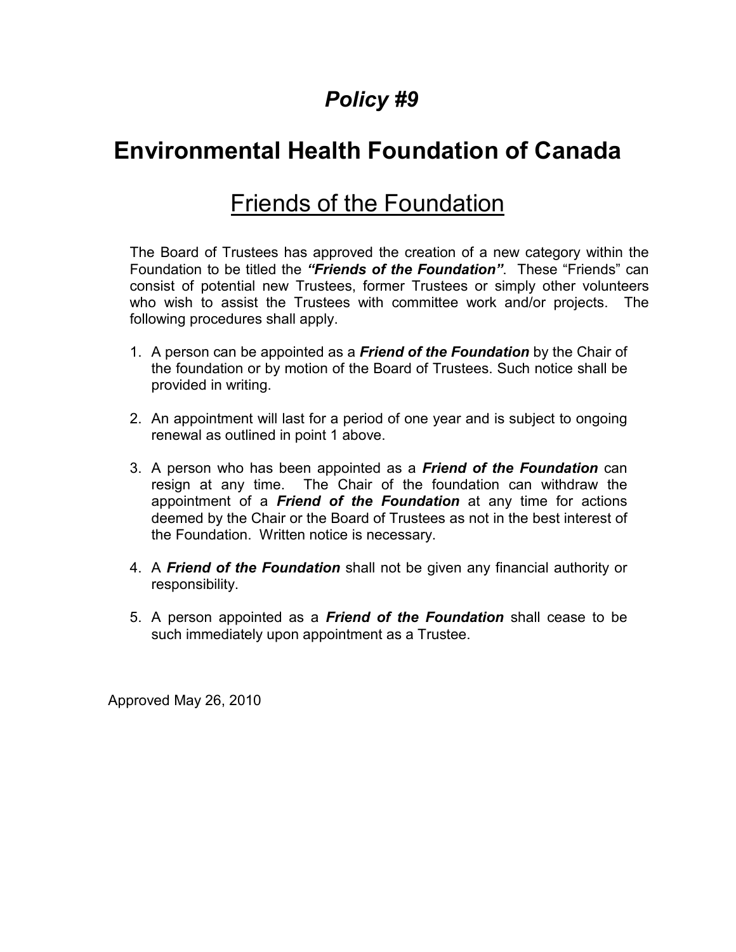# **Environmental Health Foundation of Canada**

## Friends of the Foundation

The Board of Trustees has approved the creation of a new category within the Foundation to be titled the *"Friends of the Foundation"*. These "Friends" can consist of potential new Trustees, former Trustees or simply other volunteers who wish to assist the Trustees with committee work and/or projects. The following procedures shall apply.

- 1. A person can be appointed as a *Friend of the Foundation* by the Chair of the foundation or by motion of the Board of Trustees. Such notice shall be provided in writing.
- 2. An appointment will last for a period of one year and is subject to ongoing renewal as outlined in point 1 above.
- 3. A person who has been appointed as a *Friend of the Foundation* can resign at any time. The Chair of the foundation can withdraw the appointment of a *Friend of the Foundation* at any time for actions deemed by the Chair or the Board of Trustees as not in the best interest of the Foundation. Written notice is necessary.
- 4. A *Friend of the Foundation* shall not be given any financial authority or responsibility.
- 5. A person appointed as a *Friend of the Foundation* shall cease to be such immediately upon appointment as a Trustee.

Approved May 26, 2010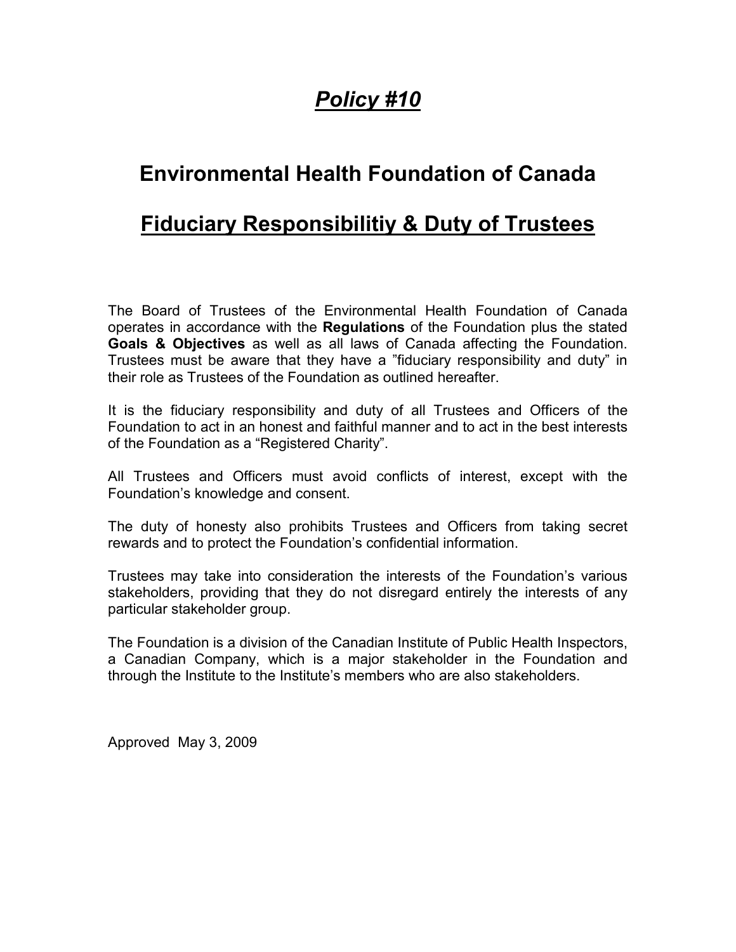### **Environmental Health Foundation of Canada**

### **Fiduciary Responsibilitiy & Duty of Trustees**

The Board of Trustees of the Environmental Health Foundation of Canada operates in accordance with the **Regulations** of the Foundation plus the stated **Goals & Objectives** as well as all laws of Canada affecting the Foundation. Trustees must be aware that they have a "fiduciary responsibility and duty" in their role as Trustees of the Foundation as outlined hereafter.

It is the fiduciary responsibility and duty of all Trustees and Officers of the Foundation to act in an honest and faithful manner and to act in the best interests of the Foundation as a "Registered Charity".

All Trustees and Officers must avoid conflicts of interest, except with the Foundation's knowledge and consent.

The duty of honesty also prohibits Trustees and Officers from taking secret rewards and to protect the Foundation's confidential information.

Trustees may take into consideration the interests of the Foundation's various stakeholders, providing that they do not disregard entirely the interests of any particular stakeholder group.

The Foundation is a division of the Canadian Institute of Public Health Inspectors, a Canadian Company, which is a major stakeholder in the Foundation and through the Institute to the Institute's members who are also stakeholders.

Approved May 3, 2009